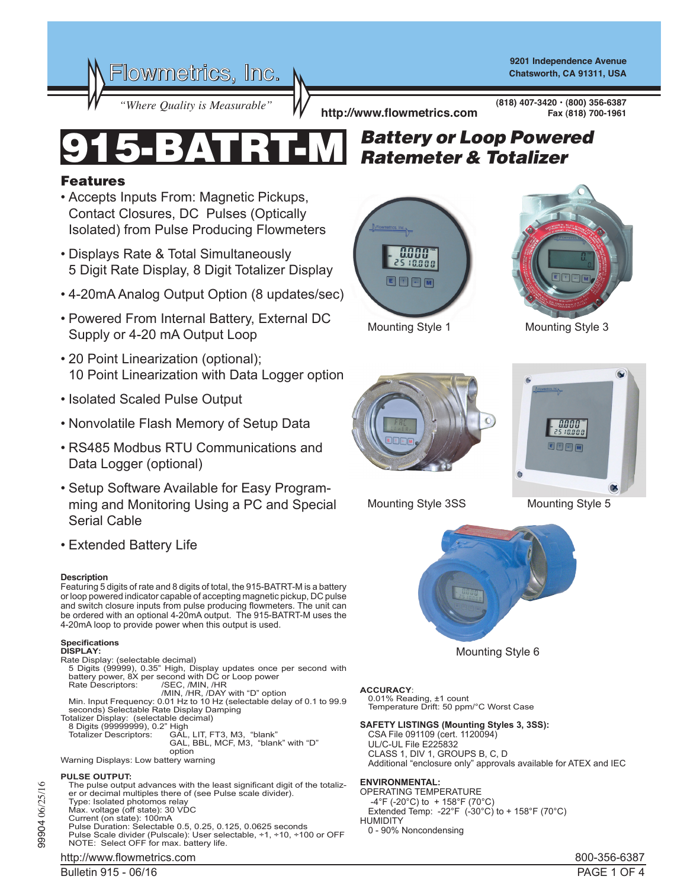

**9201 Independence Avenue Chatsworth, CA 91311, USA**

**(818) 407-3420 • (800) 356-6387**

**Fax (818) 700-1961**

*"Where Quality is Measurable"* **http://www.flowmetrics.com**

# Features

- Accepts Inputs From: Magnetic Pickups, Contact Closures, DC Pulses (Optically Isolated) from Pulse Producing Flowmeters
- Displays Rate & Total Simultaneously 5 Digit Rate Display, 8 Digit Totalizer Display
- 4-20mA Analog Output Option (8 updates/sec)
- Powered From Internal Battery, External DC Supply or 4-20 mA Output Loop
- 20 Point Linearization (optional); 10 Point Linearization with Data Logger option
- Isolated Scaled Pulse Output
- Nonvolatile Flash Memory of Setup Data
- RS485 Modbus RTU Communications and Data Logger (optional)
- Setup Software Available for Easy Programming and Monitoring Using a PC and Special Serial Cable
- Extended Battery Life

#### **Description**

Featuring 5 digits of rate and 8 digits of total, the 915-BATRT-M is a battery or loop powered indicator capable of accepting magnetic pickup, DC pulse and switch closure inputs from pulse producing flowmeters. The unit can be ordered with an optional 4-20mA output. The 915-BATRT-M uses the 4-20mA loop to provide power when this output is used.

#### **Specifications**

- **DISPLAY:**
- 
- Rate Display: (selectable decimal) 5 Digits (99999), 0.35" High, Display updates once per second with battery power, 8X per second with DC or Loop power Rate Descriptors: /SEC, /MIN, /HR
	-
- /MIN, /HR, /DAY with "D" option Min. Input Frequency: 0.01 Hz to 10 Hz (selectable delay of 0.1 to 99.9 seconds) Selectable Rate Display Damping Totalizer Display: (selectable decimal)
- 
- 8 Digits (99999999), 0.2" High<br>Totalizer Descriptors: GAL,
	- GAL, LIT, FT3, M3, "blank" GAL, BBL, MCF, M3, "blank" with "D" option
		-
- option Warning Displays: Low battery warning

### **PULSE OUTPUT:**

- The pulse output advances with the least significant digit of the totalizer or decimal multiples there of (see Pulse scale divider). Type: Isolated photomos relay Max. voltage (off state): 30 VDC Current (on state): 100mA Pulse Duration: Selectable 0.5, 0.25, 0.125, 0.0625 seconds
- Pulse Scale divider (Pulscale): User selectable, ÷1, ÷10, ÷100 or OFF NOTE: Select OFF for max. battery life.
- http://www.flowmetrics.com and the set of the set of the set of the set of the set of the set of the set of the set of the set of the set of the set of the set of the set of the set of the set of the set of the set of the

## Bulletin 915 - 06/16 PAGE 1 OF 4

# *Battery or Loop Powered* 915-BATRT-M *Ratemeter & Totalizer*





Mounting Style 1 Mounting Style 3





Mounting Style 3SS

Mounting Style 5



Mounting Style 6

## **ACCURACY**:

0.01% Reading, ±1 count Temperature Drift: 50 ppm/°C Worst Case

#### **SAFETY LISTINGS (Mounting Styles 3, 3SS):**

CSA File 091109 (cert. 1120094) UL/C-UL File E225832 CLASS 1, DIV 1, GROUPS B, C, D Additional "enclosure only" approvals available for ATEX and IEC

## **ENVIRONMENTAL:**

OPERATING TEMPERATURE -4°F (-20°C) to + 158°F (70°C) Extended Temp: -22°F  $(-30^{\circ}C)$  to + 158°F (70°C) HUMIDITY 0 - 90% Noncondensing

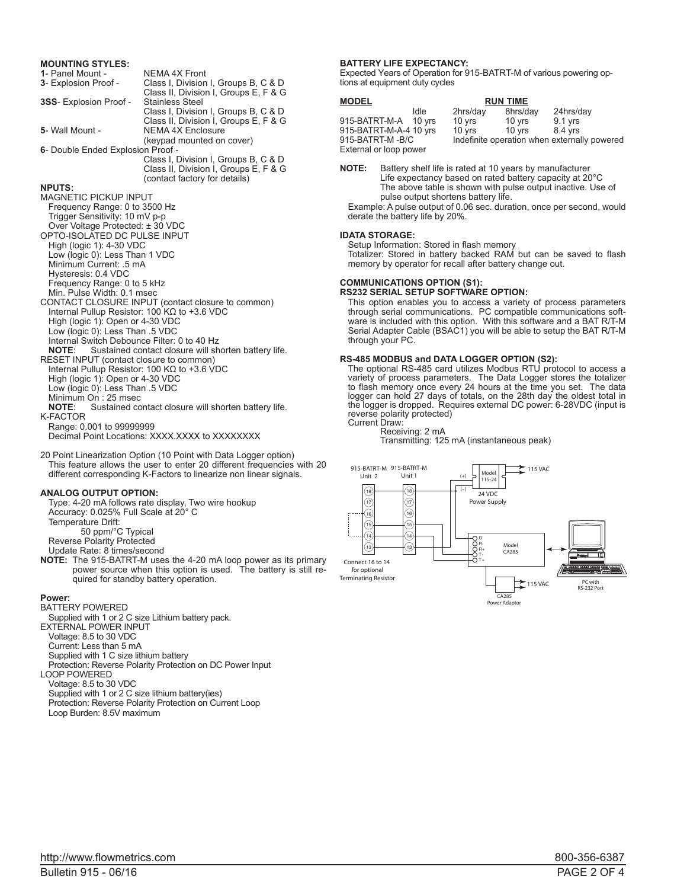## **MOUNTING STYLES:**

| 1- Panel Mount -                  | NEMA 4X Front                         |  |  |  |
|-----------------------------------|---------------------------------------|--|--|--|
| 3- Explosion Proof -              | Class I, Division I, Groups B, C & D  |  |  |  |
|                                   | Class II, Division I, Groups E, F & G |  |  |  |
| 3SS- Explosion Proof -            | <b>Stainless Steel</b>                |  |  |  |
|                                   | Class I, Division I, Groups B, C & D  |  |  |  |
|                                   | Class II, Division I, Groups E, F & G |  |  |  |
| 5- Wall Mount -                   | <b>NEMA 4X Enclosure</b>              |  |  |  |
|                                   |                                       |  |  |  |
|                                   | (keypad mounted on cover)             |  |  |  |
| 6- Double Ended Explosion Proof - |                                       |  |  |  |
|                                   | Class I, Division I, Groups B, C & D  |  |  |  |
|                                   | Class II, Division I, Groups E, F & G |  |  |  |
|                                   | (contact factory for details)         |  |  |  |
| <b>NPUTS:</b>                     |                                       |  |  |  |
| <b>MAGNETIC PICKUP INPUT</b>      |                                       |  |  |  |
| Frequency Range: 0 to 3500 Hz     |                                       |  |  |  |
| Trigger Sensitivity: 10 mV p-p    |                                       |  |  |  |
|                                   |                                       |  |  |  |
| Over Voltage Protected: ± 30 VDC  |                                       |  |  |  |
| OPTO-ISOLATED DC PULSE INPUT      |                                       |  |  |  |
| High (logic 1): 4-30 VDC          |                                       |  |  |  |
| Low (logic 0): Less Than 1 VDC    |                                       |  |  |  |
| Minimum Current: .5 mA            |                                       |  |  |  |
| Hysteresis: 0.4 VDC               |                                       |  |  |  |
|                                   |                                       |  |  |  |

CONTACT CLOSURE INPUT (contact closure to common) Internal Pullup Resistor: 100 KΩ to +3.6 VDC

#### **BATTERY LIFE EXPECTANCY:**

Expected Years of Operation for 915-BATRT-M of various powering options at equipment duty cycles

| <b>MODEL</b>           | <b>RUN TIME</b> |                                              |                  |           |  |
|------------------------|-----------------|----------------------------------------------|------------------|-----------|--|
|                        | Idle            | 2hrs/day                                     | 8hrs/day         | 24hrs/day |  |
| 915-BATRT-M-A 10 yrs   |                 | 10 yrs                                       | 10 yrs           | $9.1$ yrs |  |
| 915-BATRT-M-A-4 10 yrs |                 | 10 yrs                                       | $10 \text{ vrs}$ | 8.4 yrs   |  |
| 915-BATRT-M-B/C        |                 | Indefinite operation when externally powered |                  |           |  |
| External or loop power |                 |                                              |                  |           |  |

**NOTE:** Battery shelf life is rated at 10 years by manufacturer Life expectancy based on rated battery capacity at 20°C The above table is shown with pulse output inactive. Use of pulse output shortens battery life.

Example: A pulse output of 0.06 sec. duration, once per second, would derate the battery life by 20%.

#### **IDATA STORAGE:**

Setup Information: Stored in flash memory

Totalizer: Stored in battery backed RAM but can be saved to flash memory by operator for recall after battery change out.

## **COMMUNICATIONS OPTION (S1):**

**RS232 SERIAL SETUP SOFTWARE OPTION:** This option enables you to access a variety of process parameters through serial communications. PC compatible communications soft-

ware is included with this option. With this software and a BAT R/T-M Serial Adapter Cable (BSAC1) you will be able to setup the BAT R/T-M through your PC.

#### **RS-485 MODBUS and DATA LOGGER OPTION (S2):**

The optional RS-485 card utilizes Modbus RTU protocol to access a variety of process parameters. The Data Logger stores the totalizer to flash memory once every 24 hours at the time you set. The data logger can hold 27 days of totals, on the 28th day the oldest total in the logger is dropped. Requires external DC power: 6-28VDC (input is reverse polarity protected) Current Draw:

## Receiving: 2 mA

Transmitting: 125 mA (instantaneous peak)



20 Point Linearization Option (10 Point with Data Logger option) This feature allows the user to enter 20 different frequencies with 20 different corresponding K-Factors to linearize non linear signals.

Sustained contact closure will shorten battery life.

Sustained contact closure will shorten battery life.

## **ANALOG OUTPUT OPTION:**

Minimum On : 25 msec<br>**NOTE:** Sustained co

Range: 0.001 to 99999999

K-FACTOR

Frequency Range: 0 to 5 kHz Min. Pulse Width: 0.1 msec

High (logic 1): Open or 4-30 VDC Low (logic 0): Less Than .5 VDC

High (logic 1): Open or 4-30 VDC Low (logic 0): Less Than .5 VDC

Internal Switch Debounce Filter: 0 to 40 Hz<br>**NOTE:** Sustained contact closure will sh

RESET INPUT (contact closure to common) Internal Pullup Resistor: 100 KΩ to +3.6 VDC

Type: 4-20 mA follows rate display, Two wire hookup Accuracy: 0.025% Full Scale at 20° C Temperature Drift:

Decimal Point Locations: XXXX.XXXX to XXXXXXXX

50 ppm/°C Typical

Reverse Polarity Protected

Update Rate: 8 times/second

**NOTE:** The 915-BATRT-M uses the 4-20 mA loop power as its primary power source when this option is used. The battery is still required for standby battery operation.

#### **Power:**

BATTERY POWERED

Supplied with 1 or 2 C size Lithium battery pack.

EXTERNAL POWER INPUT

Voltage: 8.5 to 30 VDC

Current: Less than 5 mA

Supplied with 1 C size lithium battery

Protection: Reverse Polarity Protection on DC Power Input

LOOP POWERED

Voltage: 8.5 to 30 VDC

Supplied with 1 or 2 C size lithium battery(ies)

Protection: Reverse Polarity Protection on Current Loop

Loop Burden: 8.5V maximum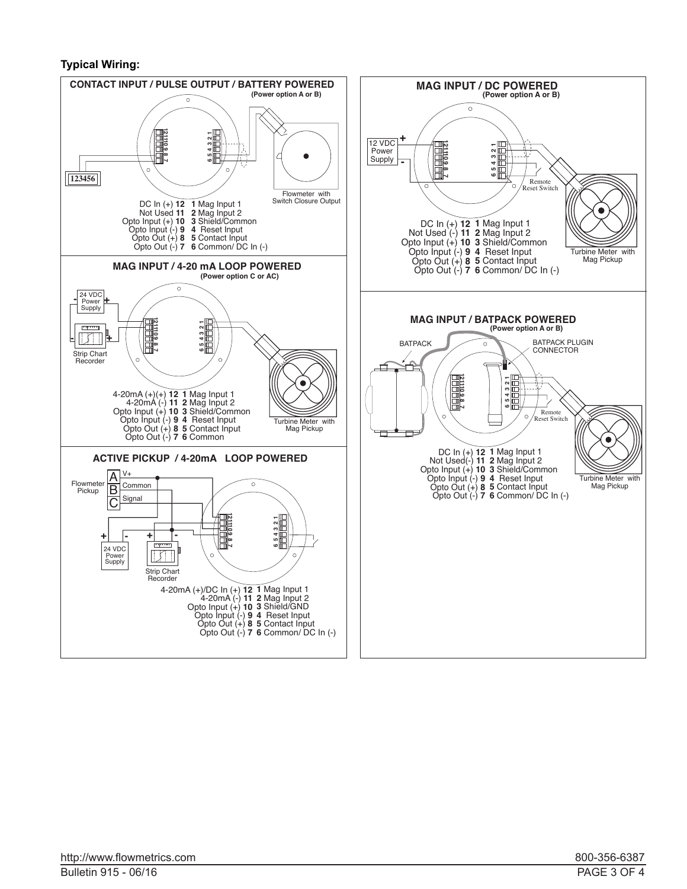# **Typical Wiring:**